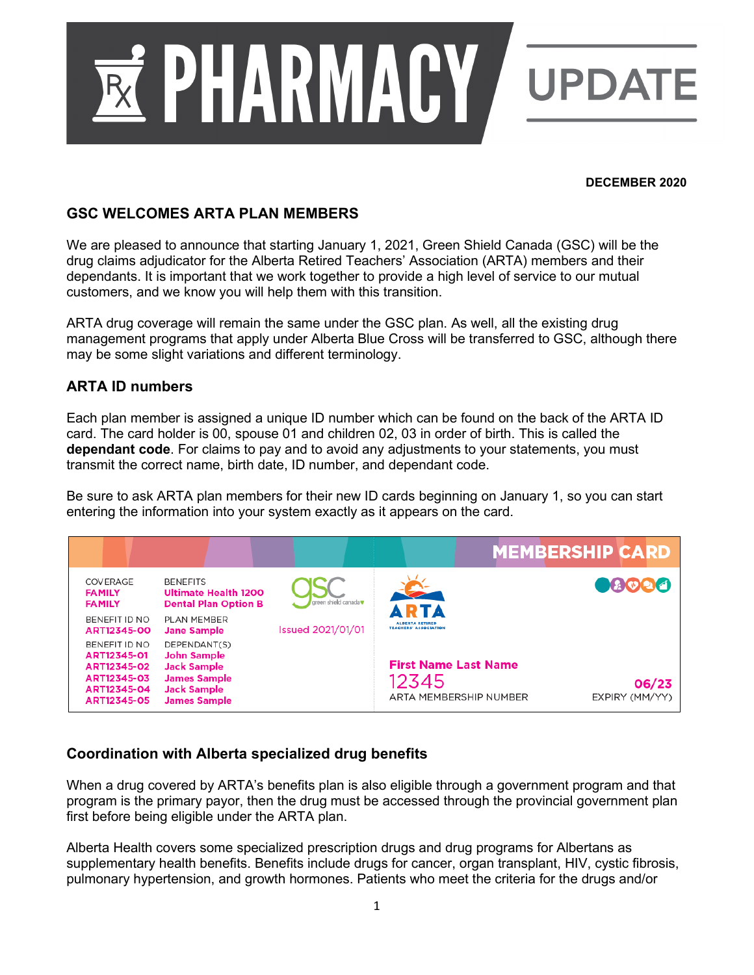

#### **DECEMBER 2020**

## **GSC WELCOMES ARTA PLAN MEMBERS**

We are pleased to announce that starting January 1, 2021, Green Shield Canada (GSC) will be the drug claims adjudicator for the Alberta Retired Teachers' Association (ARTA) members and their dependants. It is important that we work together to provide a high level of service to our mutual customers, and we know you will help them with this transition.

ARTA drug coverage will remain the same under the GSC plan. As well, all the existing drug management programs that apply under Alberta Blue Cross will be transferred to GSC, although there may be some slight variations and different terminology.

## **ARTA ID numbers**

Each plan member is assigned a unique ID number which can be found on the back of the ARTA ID card. The card holder is 00, spouse 01 and children 02, 03 in order of birth. This is called the **dependant code**. For claims to pay and to avoid any adjustments to your statements, you must transmit the correct name, birth date, ID number, and dependant code.

Be sure to ask ARTA plan members for their new ID cards beginning on January 1, so you can start entering the information into your system exactly as it appears on the card.

|                                                                                          |                                                                                                                              |                          |                                                                | <b>MEMBERSHIP CARD</b>  |
|------------------------------------------------------------------------------------------|------------------------------------------------------------------------------------------------------------------------------|--------------------------|----------------------------------------------------------------|-------------------------|
| COVERAGE<br><b>FAMILY</b><br><b>FAMILY</b>                                               | <b>BENEFITS</b><br>Ultimate Health 1200<br><b>Dental Plan Option B</b>                                                       | creen shield canada      | <b>ARTA</b>                                                    | 08000                   |
| BENEFIT ID NO<br>ART12345-00                                                             | PLAN MEMBER<br><b>Jane Sample</b>                                                                                            | <b>Issued 2021/01/01</b> | <b>ALRERTA RETIRED</b><br><b>TEACHERS' ASSOCIATION</b>         |                         |
| BENEFIT ID NO<br>ART12345-01<br>ART12345-02<br>ART12345-03<br>ART12345-04<br>ART12345-05 | DEPENDANT(S)<br><b>John Sample</b><br><b>Jack Sample</b><br><b>James Sample</b><br><b>Jack Sample</b><br><b>James Sample</b> |                          | <b>First Name Last Name</b><br>12345<br>ARTA MEMBERSHIP NUMBER | 06/23<br>EXPIRY (MM/YY) |

# **Coordination with Alberta specialized drug benefits**

When a drug covered by ARTA's benefits plan is also eligible through a government program and that program is the primary payor, then the drug must be accessed through the provincial government plan first before being eligible under the ARTA plan.

Alberta Health covers some specialized prescription drugs and drug programs for Albertans as supplementary health benefits. Benefits include drugs for cancer, organ transplant, HIV, cystic fibrosis, pulmonary hypertension, and growth hormones. Patients who meet the criteria for the drugs and/or